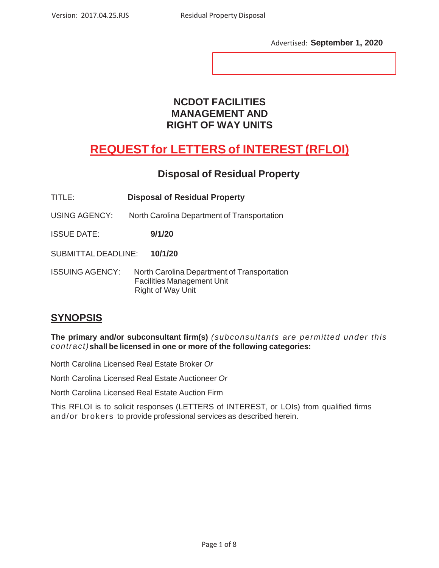Advertised: **September 1, 2020**

### **NCDOT FACILITIES MANAGEMENT AND RIGHT OF WAY UNITS**

# **REQUEST for LETTERS of INTEREST (RFLOI)**

### **Disposal of Residual Property**

- TITLE: **Disposal of Residual Property**
- USING AGENCY: North Carolina Department of Transportation

ISSUE DATE: **9/1/20**

SUBMITTAL DEADLINE: **10/1/20**

ISSUING AGENCY: North Carolina Department of Transportation Facilities Management Unit Right of Way Unit

### **SYNOPSIS**

**The primary and/or subconsultant firm(s)** *(subconsultants are permitted under this contract)***shall be licensed in one or more of the following categories:**

North Carolina Licensed Real Estate Broker *Or* 

North Carolina Licensed Real Estate Auctioneer *Or* 

North Carolina Licensed Real Estate Auction Firm

This RFLOI is to solicit responses (LETTERS of INTEREST, or LOIs) from qualified firms and/or brokers to provide professional services as described herein.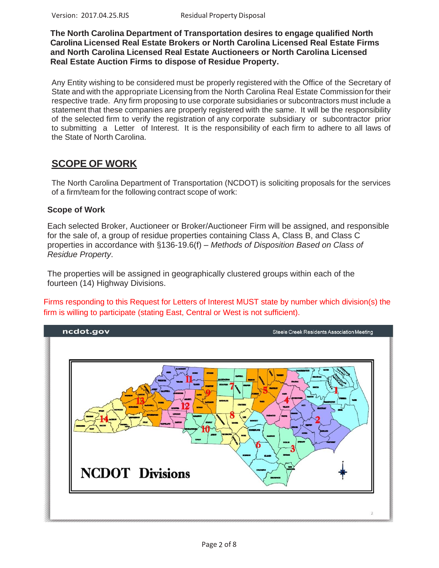**The North Carolina Department of Transportation desires to engage qualified North Carolina Licensed Real Estate Brokers or North Carolina Licensed Real Estate Firms and North Carolina Licensed Real Estate Auctioneers or North Carolina Licensed Real Estate Auction Firms to dispose of Residue Property.**

Any Entity wishing to be considered must be properly registered with the Office of the Secretary of State and with the appropriate Licensing from the North Carolina Real Estate Commission for their respective trade. Any firm proposing to use corporate subsidiaries or subcontractors must include a statement that these companies are properly registered with the same. It will be the responsibility of the selected firm to verify the registration of any corporate subsidiary or subcontractor prior to submitting a Letter of Interest. It is the responsibility of each firm to adhere to all laws of the State of North Carolina.

### **SCOPE OF WORK**

The North Carolina Department of Transportation (NCDOT) is soliciting proposals for the services of a firm/team for the following contract scope of work:

### **Scope of Work**

Each selected Broker, Auctioneer or Broker/Auctioneer Firm will be assigned, and responsible for the sale of, a group of residue properties containing Class A, Class B, and Class C properties in accordance with §136-19.6(f) – *Methods of Disposition Based on Class of Residue Property*.

The properties will be assigned in geographically clustered groups within each of the fourteen (14) Highway Divisions.

Firms responding to this Request for Letters of Interest MUST state by number which division(s) the firm is willing to participate (stating East, Central or West is not sufficient).

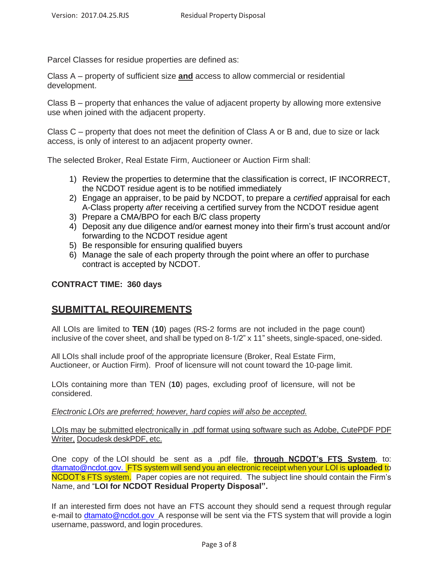Parcel Classes for residue properties are defined as:

Class A – property of sufficient size **and** access to allow commercial or residential development.

Class B – property that enhances the value of adjacent property by allowing more extensive use when joined with the adjacent property.

Class C – property that does not meet the definition of Class A or B and, due to size or lack access, is only of interest to an adjacent property owner.

The selected Broker, Real Estate Firm, Auctioneer or Auction Firm shall:

- 1) Review the properties to determine that the classification is correct, IF INCORRECT, the NCDOT residue agent is to be notified immediately
- 2) Engage an appraiser, to be paid by NCDOT, to prepare a *certified* appraisal for each A-Class property *after* receiving a certified survey from the NCDOT residue agent
- 3) Prepare a CMA/BPO for each B/C class property
- 4) Deposit any due diligence and/or earnest money into their firm's trust account and/or forwarding to the NCDOT residue agent
- 5) Be responsible for ensuring qualified buyers
- 6) Manage the sale of each property through the point where an offer to purchase contract is accepted by NCDOT.

### **CONTRACT TIME: 360 days**

### **SUBMITTAL REQUIREMENTS**

All LOIs are limited to **TEN** (**10**) pages (RS-2 forms are not included in the page count) inclusive of the cover sheet, and shall be typed on 8-1/2" x 11" sheets, single-spaced, one-sided.

 All LOIs shall include proof of the appropriate licensure (Broker, Real Estate Firm, Auctioneer, or Auction Firm). Proof of licensure will not count toward the 10-page limit.

LOIs containing more than TEN (**10**) pages, excluding proof of licensure, will not be considered.

*Electronic LOIs are preferred; however, hard copies will also be accepted.*

LOIs may be submitted electronically in .pdf format using software such as Adobe, CutePDF PDF Writer, Docudesk deskPDF, etc.

One copy of the LOI should be sent as a .pdf file, **through NCDOT's FTS System**, to: [dtamato@ncdot.gov.](mailto:dtamato@ncdot.gov.) FTS system will send you an electronic receipt when your LOI is **uploaded** to NCDOT's FTS system. Paper copies are not required. The subject line should contain the Firm's Name, and "**LOI for NCDOT Residual Property Disposal".**

If an interested firm does not have an FTS account they should send a request through regular e-mail to [dtamato@ncdot.gov](mailto:dtamato@ncdot.gov) A response will be sent via the FTS system that will provide a login username, password, and login procedures.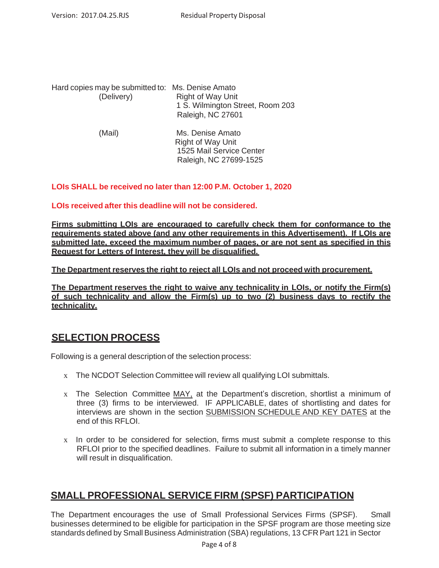| Hard copies may be submitted to: Ms. Denise Amato<br>(Delivery) | <b>Right of Way Unit</b><br>1 S. Wilmington Street, Room 203<br>Raleigh, NC 27601 |
|-----------------------------------------------------------------|-----------------------------------------------------------------------------------|
| (Mail)                                                          | Ms. Denise Amato                                                                  |

| (Mail) | Ms. Denise Amato         |
|--------|--------------------------|
|        | <b>Right of Way Unit</b> |
|        | 1525 Mail Service Center |
|        | Raleigh, NC 27699-1525   |
|        |                          |

### **LOIs SHALL be received no later than 12:00 P.M. October 1, 2020**

#### **LOIs received after this deadline will not be considered.**

**Firms submitting LOIs are encouraged to carefully check them for conformance to the requirements stated above (and any other requirements in this Advertisement). If LOIs are submitted late, exceed the maximum number of pages, or are not sent as specified in this Request for Letters of Interest, they will be disqualified.**

**The Department reserves the right to reject all LOIs and not proceed with procurement.**

**The Department reserves the right to waive any technicality in LOIs, or notify the Firm(s) of such technicality and allow the Firm(s) up to two (2) business days to rectify the technicality.**

### **SELECTION PROCESS**

Following is a general description of the selection process:

- x The NCDOT Selection Committee will review all qualifying LOI submittals.
- x The Selection Committee MAY, at the Department's discretion, shortlist a minimum of three (3) firms to be interviewed. IF APPLICABLE, dates of shortlisting and dates for interviews are shown in the section SUBMISSION SCHEDULE AND KEY DATES at the end of this RFLOI.
- x In order to be considered for selection, firms must submit a complete response to this RFLOI prior to the specified deadlines. Failure to submit all information in a timely manner will result in disqualification.

### **SMALL PROFESSIONAL SERVICE FIRM (SPSF) PARTICIPATION**

The Department encourages the use of Small Professional Services Firms (SPSF). Small businesses determined to be eligible for participation in the SPSF program are those meeting size standards defined by Small Business Administration (SBA) regulations, 13 CFR Part 121 in Sector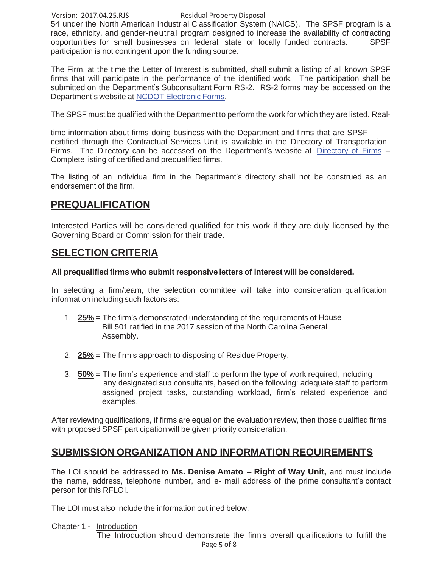#### Version: 2017.04.25.RJS Residual Property Disposal

54 under the North American Industrial Classification System (NAICS). The SPSF program is a race, ethnicity, and gender-neutral program designed to increase the availability of contracting opportunities for small businesses on federal, state or locally funded contracts. SPSF participation is not contingent upon the funding source.

The Firm, at the time the Letter of Interest is submitted, shall submit a listing of all known SPSF firms that will participate in the performance of the identified work. The participation shall be submitted on the Department's Subconsultant Form RS-2. RS-2 forms may be accessed on the Department's website at NCDOT Electronic Forms.

The SPSF must be qualified with the Department to perform the work for which they are listed. Real-

time information about firms doing business with the Department and firms that are SPSF certified through the Contractual Services Unit is available in the Directory of Transportation Firms. The Directory can be accessed on the Department's website at Directory of Firms -- Complete listing of certified and prequalified firms.

The listing of an individual firm in the Department's directory shall not be construed as an endorsement of the firm.

### **PREQUALIFICATION**

Interested Parties will be considered qualified for this work if they are duly licensed by the Governing Board or Commission for their trade.

### **SELECTION CRITERIA**

### **All prequalified firms who submit responsive letters of interest will be considered.**

In selecting a firm/team, the selection committee will take into consideration qualification information including such factors as:

- 1. **25% =** The firm's demonstrated understanding of the requirements of House Bill 501 ratified in the 2017 session of the North Carolina General Assembly.
- 2. **25% =** The firm's approach to disposing of Residue Property.
- 3. **50% =** The firm's experience and staff to perform the type of work required, including any designated sub consultants, based on the following: adequate staff to perform assigned project tasks, outstanding workload, firm's related experience and examples.

After reviewing qualifications, if firms are equal on the evaluation review, then those qualified firms with proposed SPSF participation will be given priority consideration.

### **SUBMISSION ORGANIZATION AND INFORMATION REQUIREMENTS**

The LOI should be addressed to **Ms. Denise Amato – Right of Way Unit,** and must include the name, address, telephone number, and e- mail address of the prime consultant's contact person for this RFLOI.

The LOI must also include the information outlined below:

Chapter 1 - Introduction

Page 5 of 8 The Introduction should demonstrate the firm's overall qualifications to fulfill the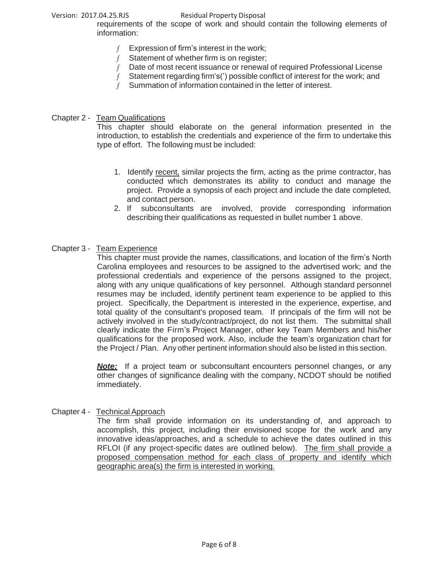#### Version: 2017.04.25.RJS<br>Residual Property Disposal

requirements of the scope of work and should contain the following elements of information:

- $f$  Expression of firm's interest in the work;
- $f$  Statement of whether firm is on register;
- $f$  Date of most recent issuance or renewal of required Professional License
- $f$  Statement regarding firm's(') possible conflict of interest for the work; and
	- f Summation of information contained in the letter of interest.

#### Chapter 2 - Team Qualifications

This chapter should elaborate on the general information presented in the introduction, to establish the credentials and experience of the firm to undertake this type of effort. The following must be included:

- 1. Identify recent, similar projects the firm, acting as the prime contractor, has conducted which demonstrates its ability to conduct and manage the project. Provide a synopsis of each project and include the date completed, and contact person.
- 2. If subconsultants are involved, provide corresponding information describing their qualifications as requested in bullet number 1 above.

#### Chapter 3 - Team Experience

This chapter must provide the names, classifications, and location of the firm's North Carolina employees and resources to be assigned to the advertised work; and the professional credentials and experience of the persons assigned to the project, along with any unique qualifications of key personnel. Although standard personnel resumes may be included, identify pertinent team experience to be applied to this project. Specifically, the Department is interested in the experience, expertise, and total quality of the consultant's proposed team. If principals of the firm will not be actively involved in the study/contract/project, do not list them. The submittal shall clearly indicate the Firm's Project Manager, other key Team Members and his/her qualifications for the proposed work. Also, include the team's organization chart for the Project / Plan. Any other pertinent information should also be listed in this section.

**Note:** If a project team or subconsultant encounters personnel changes, or any other changes of significance dealing with the company, NCDOT should be notified immediately.

#### Chapter 4 - Technical Approach

The firm shall provide information on its understanding of, and approach to accomplish, this project, including their envisioned scope for the work and any innovative ideas/approaches, and a schedule to achieve the dates outlined in this RFLOI (if any project-specific dates are outlined below). The firm shall provide a proposed compensation method for each class of property and identify which geographic area(s) the firm is interested in working.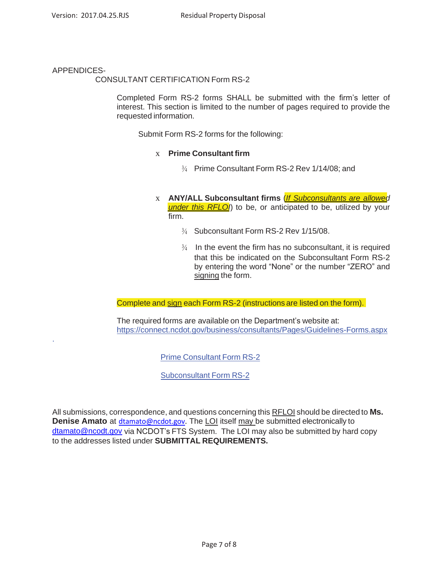### APPENDICES-

.

CONSULTANT CERTIFICATION Form RS-2

Completed Form RS-2 forms SHALL be submitted with the firm's letter of interest. This section is limited to the number of pages required to provide the requested information.

Submit Form RS-2 forms for the following:

#### x **Prime Consultant firm**

- ¾ Prime Consultant Form RS-2 Rev 1/14/08; and
- x **ANY/ALL Subconsultant firms** (*If Subconsultants are allowed*  **under this RFLO**) to be, or anticipated to be, utilized by your firm.
	- ¾ Subconsultant Form RS-2 Rev 1/15/08.
	- $\frac{3}{4}$  In the event the firm has no subconsultant, it is required that this be indicated on the Subconsultant Form RS-2 by entering the word "None" or the number "ZERO" and signing the form.

Complete and sign each Form RS-2 (instructions are listed on the form).

The required forms are available on the Department's website at: https://connect.ncdot.gov/business/consultants/Pages/Guidelines-Forms.aspx

Prime Consultant Form RS-2

Subconsultant Form RS-2

All submissions, correspondence, and questions concerning this RFLOI should be directed to **Ms. Denise Amato** at [dtamato@ncdot.gov.](mailto:dtamato@ncdot.gov) The LOI itself may be submitted electronically to [dtamato@ncodt.gov](mailto:dtamato@ncodt.gov) via NCDOT's FTS System. The LOI may also be submitted by hard copy to the addresses listed under **SUBMITTAL REQUIREMENTS.**